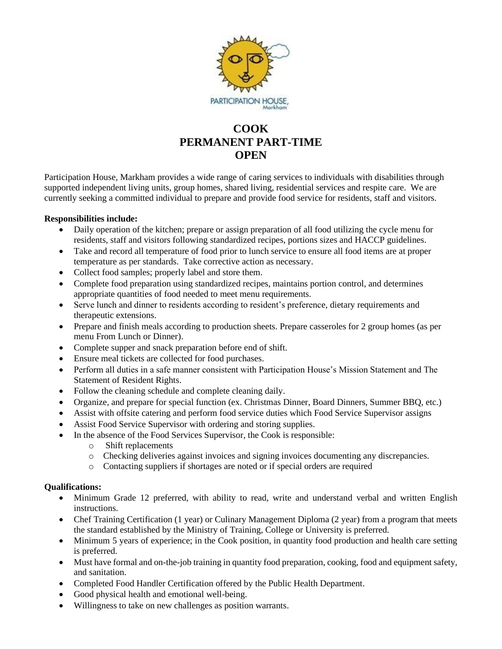

## **COOK PERMANENT PART-TIME OPEN**

Participation House, Markham provides a wide range of caring services to individuals with disabilities through supported independent living units, group homes, shared living, residential services and respite care. We are currently seeking a committed individual to prepare and provide food service for residents, staff and visitors.

## **Responsibilities include:**

- Daily operation of the kitchen; prepare or assign preparation of all food utilizing the cycle menu for residents, staff and visitors following standardized recipes, portions sizes and HACCP guidelines.
- Take and record all temperature of food prior to lunch service to ensure all food items are at proper temperature as per standards. Take corrective action as necessary.
- Collect food samples; properly label and store them.
- Complete food preparation using standardized recipes, maintains portion control, and determines appropriate quantities of food needed to meet menu requirements.
- Serve lunch and dinner to residents according to resident's preference, dietary requirements and therapeutic extensions.
- Prepare and finish meals according to production sheets. Prepare casseroles for 2 group homes (as per menu From Lunch or Dinner).
- Complete supper and snack preparation before end of shift.
- Ensure meal tickets are collected for food purchases.
- Perform all duties in a safe manner consistent with Participation House's Mission Statement and The Statement of Resident Rights.
- Follow the cleaning schedule and complete cleaning daily.
- Organize, and prepare for special function (ex. Christmas Dinner, Board Dinners, Summer BBQ, etc.)
- Assist with offsite catering and perform food service duties which Food Service Supervisor assigns
- Assist Food Service Supervisor with ordering and storing supplies.
- In the absence of the Food Services Supervisor, the Cook is responsible:
	- o Shift replacements
	- o Checking deliveries against invoices and signing invoices documenting any discrepancies.
	- o Contacting suppliers if shortages are noted or if special orders are required

## **Qualifications:**

- Minimum Grade 12 preferred, with ability to read, write and understand verbal and written English instructions.
- Chef Training Certification (1 year) or Culinary Management Diploma (2 year) from a program that meets the standard established by the Ministry of Training, College or University is preferred.
- Minimum 5 years of experience; in the Cook position, in quantity food production and health care setting is preferred.
- Must have formal and on-the-job training in quantity food preparation, cooking, food and equipment safety, and sanitation.
- Completed Food Handler Certification offered by the Public Health Department.
- Good physical health and emotional well-being.
- Willingness to take on new challenges as position warrants.